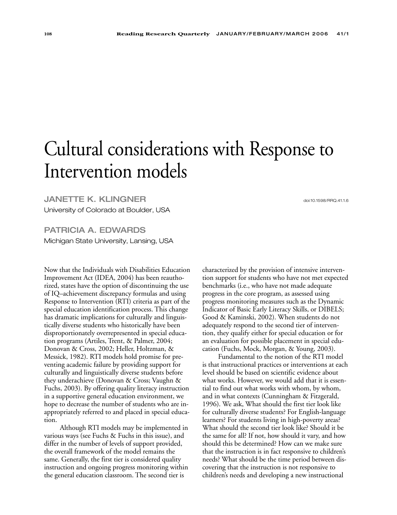# Cultural considerations with Response to Intervention models

JANETTE K. KLINGNER doi:10.1598/RRQ.41.1.6

University of Colorado at Boulder, USA

PATRICIA A. EDWARDS Michigan State University, Lansing, USA

Now that the Individuals with Disabilities Education Improvement Act (IDEA, 2004) has been reauthorized, states have the option of discontinuing the use of IQ–achievement discrepancy formulas and using Response to Intervention (RTI) criteria as part of the special education identification process. This change has dramatic implications for culturally and linguistically diverse students who historically have been disproportionately overrepresented in special education programs (Artiles, Trent, & Palmer, 2004; Donovan & Cross, 2002; Heller, Holtzman, & Messick, 1982). RTI models hold promise for preventing academic failure by providing support for culturally and linguistically diverse students before they underachieve (Donovan & Cross; Vaughn & Fuchs, 2003). By offering quality literacy instruction in a supportive general education environment, we hope to decrease the number of students who are inappropriately referred to and placed in special education.

Although RTI models may be implemented in various ways (see Fuchs & Fuchs in this issue), and differ in the number of levels of support provided, the overall framework of the model remains the same. Generally, the first tier is considered quality instruction and ongoing progress monitoring within the general education classroom. The second tier is

characterized by the provision of intensive intervention support for students who have not met expected benchmarks (i.e., who have not made adequate progress in the core program, as assessed using progress monitoring measures such as the Dynamic Indicator of Basic Early Literacy Skills, or DIBELS; Good & Kaminski, 2002). When students do not adequately respond to the second tier of intervention, they qualify either for special education or for an evaluation for possible placement in special education (Fuchs, Mock, Morgan, & Young, 2003).

Fundamental to the notion of the RTI model is that instructional practices or interventions at each level should be based on scientific evidence about what works. However, we would add that it is essential to find out what works with whom, by whom, and in what contexts (Cunningham & Fitzgerald, 1996). We ask, What should the first tier look like for culturally diverse students? For English-language learners? For students living in high-poverty areas? What should the second tier look like? Should it be the same for all? If not, how should it vary, and how should this be determined? How can we make sure that the instruction is in fact responsive to children's needs? What should be the time period between discovering that the instruction is not responsive to children's needs and developing a new instructional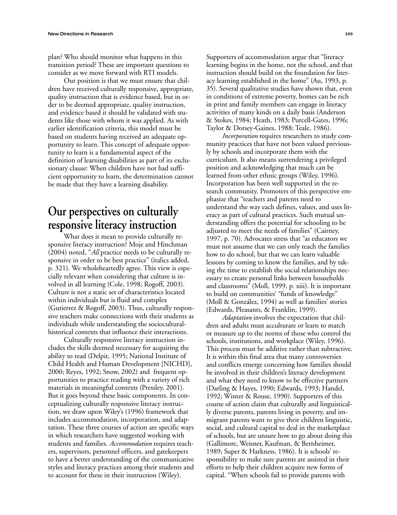plan? Who should monitor what happens in this transition period? These are important questions to consider as we move forward with RTI models.

Our position is that we must ensure that children have received culturally responsive, appropriate, quality instruction that is evidence based, but in order to be deemed appropriate, quality instruction, and evidence based it should be validated with students like those with whom it was applied. As with earlier identification criteria, this model must be based on students having received an adequate opportunity to learn. This concept of adequate opportunity to learn is a fundamental aspect of the definition of learning disabilities as part of its exclusionary clause: When children have not had sufficient opportunity to learn, the determination cannot be made that they have a learning disability.

### **Our perspectives on culturally responsive literacy instruction**

What does it mean to provide culturally responsive literacy instruction? Moje and Hinchman (2004) noted, "*All* practice needs to be culturally responsive in order to be best practice" (italics added, p. 321). We wholeheartedly agree. This view is especially relevant when considering that culture is involved in all learning (Cole, 1998; Rogoff, 2003). Culture is not a static set of characteristics located within individuals but is fluid and complex (Gutierrez & Rogoff, 2003). Thus, culturally responsive teachers make connections with their students as individuals while understanding the socioculturalhistorical contexts that influence their interactions.

Culturally responsive literacy instruction includes the skills deemed necessary for acquiring the ability to read (Delpit, 1995; National Institute of Child Health and Human Development [NICHD], 2000; Reyes, 1992; Snow, 2002) and frequent opportunities to practice reading with a variety of rich materials in meaningful contexts (Pressley, 2001). But it goes beyond these basic components. In conceptualizing culturally responsive literacy instruction, we draw upon Wiley's (1996) framework that includes accommodation, incorporation, and adaptation. These three courses of action are specific ways in which researchers have suggested working with students and families. *Accommodation* requires teachers, supervisors, personnel officers, and gatekeepers to have a better understanding of the communicative styles and literacy practices among their students and to account for these in their instruction (Wiley).

Supporters of accommodation argue that "literacy learning begins in the home, not the school, and that instruction should build on the foundation for literacy learning established in the home" (Au, 1993, p. 35). Several qualitative studies have shown that, even in conditions of extreme poverty, homes can be rich in print and family members can engage in literacy activities of many kinds on a daily basis (Anderson & Stokes, 1984; Heath, 1983; Purcell-Gates, 1996; Taylor & Dorsey-Gaines, 1988; Teale, 1986).

*Incorporation* requires researchers to study community practices that have not been valued previously by schools and incorporate them with the curriculum. It also means surrendering a privileged position and acknowledging that much can be learned from other ethnic groups (Wiley, 1996). Incorporation has been well supported in the research community. Promoters of this perspective emphasize that "teachers and parents need to understand the way each defines, values, and uses literacy as part of cultural practices. Such mutual understanding offers the potential for schooling to be adjusted to meet the needs of families" (Cairney, 1997, p. 70). Advocates stress that "as educators we must not assume that we can only teach the families how to do school, but that we can learn valuable lessons by coming to know the families, and by taking the time to establish the social relationships necessary to create personal links between households and classrooms" (Moll, 1999, p. xiii). It is important to build on communities' "funds of knowledge" (Moll & González, 1994) as well as families' stories (Edwards, Pleasants, & Franklin, 1999).

*Adaptation* involves the expectation that children and adults must acculturate or learn to match or measure up to the norms of those who control the schools, institutions, and workplace (Wiley, 1996). This process must be additive rather than subtractive. It is within this final area that many controversies and conflicts emerge concerning how families should be involved in their children's literacy development and what they need to know to be effective partners (Darling & Hayes, 1990; Edwards, 1993; Handel, 1992; Winter & Rouse, 1990). Supporters of this course of action claim that culturally and linguistically diverse parents, parents living in poverty, and immigrant parents want to give their children linguistic, social, and cultural capital to deal in the marketplace of schools, but are unsure how to go about doing this (Gallimore, Weisner, Kaufman, & Bernheimer, 1989; Super & Harkness, 1986). It is schools' responsibility to make sure parents are assisted in their efforts to help their children acquire new forms of capital. "When schools fail to provide parents with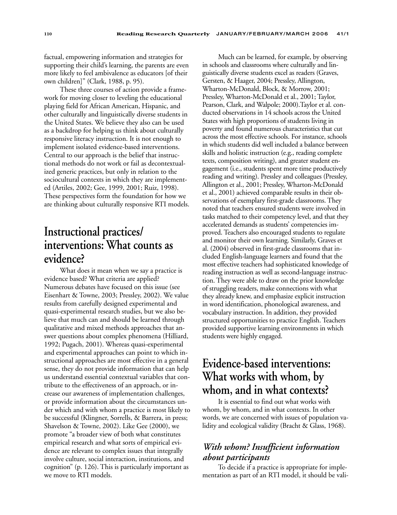factual, empowering information and strategies for supporting their child's learning, the parents are even more likely to feel ambivalence as educators [of their own children]" (Clark, 1988, p. 95).

These three courses of action provide a framework for moving closer to leveling the educational playing field for African American, Hispanic, and other culturally and linguistically diverse students in the United States. We believe they also can be used as a backdrop for helping us think about culturally responsive literacy instruction. It is not enough to implement isolated evidence-based interventions. Central to our approach is the belief that instructional methods do not work or fail as decontextualized generic practices, but only in relation to the sociocultural contexts in which they are implemented (Artiles, 2002; Gee, 1999, 2001; Ruiz, 1998). These perspectives form the foundation for how we are thinking about culturally responsive RTI models.

## **Instructional practices/ interventions: What counts as evidence?**

What does it mean when we say a practice is evidence based? What criteria are applied? Numerous debates have focused on this issue (see Eisenhart & Towne, 2003; Pressley, 2002). We value results from carefully designed experimental and quasi-experimental research studies, but we also believe that much can and should be learned through qualitative and mixed methods approaches that answer questions about complex phenomena (Hilliard, 1992; Pugach, 2001). Whereas quasi-experimental and experimental approaches can point to which instructional approaches are most effective in a general sense, they do not provide information that can help us understand essential contextual variables that contribute to the effectiveness of an approach, or increase our awareness of implementation challenges, or provide information about the circumstances under which and with whom a practice is most likely to be successful (Klingner, Sorrells, & Barrera, in press; Shavelson & Towne, 2002). Like Gee (2000), we promote "a broader view of both what constitutes empirical research and what sorts of empirical evidence are relevant to complex issues that integrally involve culture, social interaction, institutions, and cognition" (p. 126). This is particularly important as we move to RTI models.

Much can be learned, for example, by observing in schools and classrooms where culturally and linguistically diverse students excel as readers (Graves, Gersten, & Haager, 2004; Pressley, Allington, Wharton-McDonald, Block, & Morrow, 2001; Pressley, Wharton-McDonald et al., 2001; Taylor, Pearson, Clark, and Walpole; 2000).Taylor et al. conducted observations in 14 schools across the United States with high proportions of students living in poverty and found numerous characteristics that cut across the most effective schools. For instance, schools in which students did well included a balance between skills and holistic instruction (e.g., reading complete texts, composition writing), and greater student engagement (i.e., students spent more time productively reading and writing). Pressley and colleagues (Pressley, Allington et al., 2001; Pressley, Wharton-McDonald et al., 2001) achieved comparable results in their observations of exemplary first-grade classrooms. They noted that teachers ensured students were involved in tasks matched to their competency level, and that they accelerated demands as students' competencies improved. Teachers also encouraged students to regulate and monitor their own learning. Similarly, Graves et al. (2004) observed in first-grade classrooms that included English-language learners and found that the most effective teachers had sophisticated knowledge of reading instruction as well as second-language instruction. They were able to draw on the prior knowledge of struggling readers, make connections with what they already knew, and emphasize explicit instruction in word identification, phonological awareness, and vocabulary instruction. In addition, they provided structured opportunities to practice English. Teachers provided supportive learning environments in which students were highly engaged.

## **Evidence-based interventions: What works with whom, by whom, and in what contexts?**

It is essential to find out what works with whom, by whom, and in what contexts. In other words, we are concerned with issues of population validity and ecological validity (Bracht & Glass, 1968).

### *With whom? Insufficient information about participants*

To decide if a practice is appropriate for implementation as part of an RTI model, it should be vali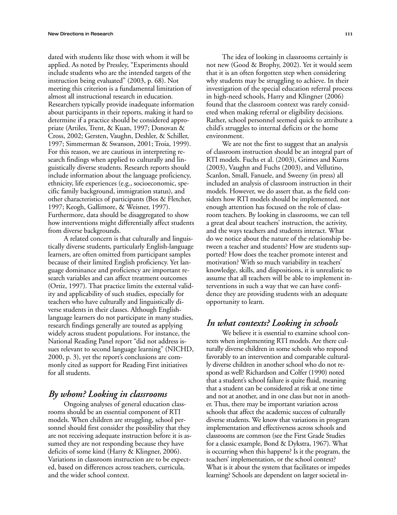dated with students like those with whom it will be applied. As noted by Pressley, "Experiments should include students who are the intended targets of the instruction being evaluated" (2003, p. 68). Not meeting this criterion is a fundamental limitation of almost all instructional research in education. Researchers typically provide inadequate information about participants in their reports, making it hard to determine if a practice should be considered appropriate (Artiles, Trent, & Kuan, 1997; Donovan & Cross, 2002; Gersten, Vaughn, Deshler, & Schiller, 1997; Simmerman & Swanson, 2001; Troia, 1999). For this reason, we are cautious in interpreting research findings when applied to culturally and linguistically diverse students. Research reports should include information about the language proficiency, ethnicity, life experiences (e.g., socioeconomic, specific family background, immigration status), and other characteristics of participants (Bos & Fletcher, 1997; Keogh, Gallimore, & Weisner, 1997). Furthermore, data should be disaggregated to show how interventions might differentially affect students from diverse backgrounds.

A related concern is that culturally and linguistically diverse students, particularly English-language learners, are often omitted from participant samples because of their limited English proficiency. Yet language dominance and proficiency are important research variables and can affect treatment outcomes (Ortiz, 1997). That practice limits the external validity and applicability of such studies, especially for teachers who have culturally and linguistically diverse students in their classes. Although Englishlanguage learners do not participate in many studies, research findings generally are touted as applying widely across student populations. For instance, the National Reading Panel report "did not address issues relevant to second language learning" (NICHD, 2000, p. 3), yet the report's conclusions are commonly cited as support for Reading First initiatives for all students.

#### *By whom? Looking in classrooms*

Ongoing analyses of general education classrooms should be an essential component of RTI models. When children are struggling, school personnel should first consider the possibility that they are not receiving adequate instruction before it is assumed they are not responding because they have deficits of some kind (Harry & Klingner, 2006). Variations in classroom instruction are to be expected, based on differences across teachers, curricula, and the wider school context.

The idea of looking in classrooms certainly is not new (Good & Brophy, 2002). Yet it would seem that it is an often forgotten step when considering why students may be struggling to achieve. In their investigation of the special education referral process in high-need schools, Harry and Klingner (2006) found that the classroom context was rarely considered when making referral or eligibility decisions. Rather, school personnel seemed quick to attribute a child's struggles to internal deficits or the home environment.

We are not the first to suggest that an analysis of classroom instruction should be an integral part of RTI models. Fuchs et al. (2003), Grimes and Kurns (2003), Vaughn and Fuchs (2003), and Vellutino, Scanlon, Small, Fanuele, and Sweeny (in press) all included an analysis of classroom instruction in their models. However, we do assert that, as the field considers how RTI models should be implemented, not enough attention has focused on the role of classroom teachers. By looking in classrooms, we can tell a great deal about teachers' instruction, the activity, and the ways teachers and students interact. What do we notice about the nature of the relationship between a teacher and students? How are students supported? How does the teacher promote interest and motivation? With so much variability in teachers' knowledge, skills, and dispositions, it is unrealistic to assume that all teachers will be able to implement interventions in such a way that we can have confidence they are providing students with an adequate opportunity to learn.

#### *In what contexts? Looking in schools*

We believe it is essential to examine school contexts when implementing RTI models. Are there culturally diverse children in some schools who respond favorably to an intervention and comparable culturally diverse children in another school who do not respond as well? Richardson and Colfer (1990) noted that a student's school failure is quite fluid, meaning that a student can be considered at risk at one time and not at another, and in one class but not in another. Thus, there may be important variation across schools that affect the academic success of culturally diverse students. We know that variations in program implementation and effectiveness across schools and classrooms are common (see the First Grade Studies for a classic example, Bond & Dykstra, 1967). What is occurring when this happens? Is it the program, the teachers' implementation, or the school context? What is it about the system that facilitates or impedes learning? Schools are dependent on larger societal in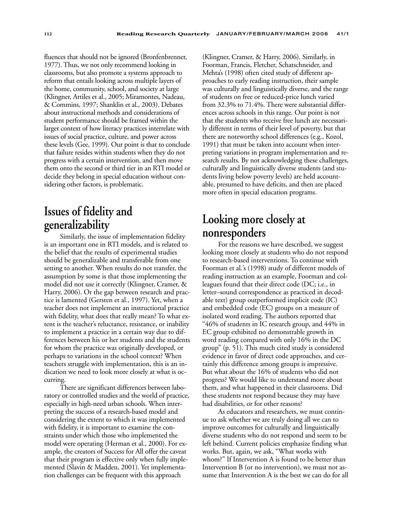fluences that should not be ignored (Bronfenbrenner, 1977). Thus, we not only recommend looking in classrooms, but also promote a systems approach to reform that entails looking across multiple layers of the home, community, school, and society at large (Klingner, Artiles et al., 2005; Miramontes, Nadeau, & Commins, 1997; Shanklin et al., 2003). Debates about instructional methods and considerations of student performance should be framed within the larger context of how literacy practices interrelate with issues of social practice, culture, and power across these levels (Gee, 1999). Our point is that to conclude that failure resides within students when they do not progress with a certain intervention, and then move them onto the second or third tier in an RTI model or decide they belong in special education without considering other factors, is problematic.

# **Issues of fidelity and generalizability**

Similarly, the issue of implementation fidelity is an important one in RTI models, and is related to the belief that the results of experimental studies should be generalizable and transferable from one setting to another. When results do not transfer, the assumption by some is that those implementing the model did not use it correctly (Klingner, Cramer, & Harry, 2006). Or the gap between research and practice is lamented (Gersten et al., 1997). Yet, when a teacher does not implement an instructional practice with fidelity, what does that really mean? To what extent is the teacher's reluctance, resistance, or inability to implement a practice in a certain way due to differences between his or her students and the students for whom the practice was originally developed, or perhaps to variations in the school context? When teachers struggle with implementation, this is an indication we need to look more closely at what is occurring.

There are significant differences between laboratory or controlled studies and the world of practice, especially in high-need urban schools. When interpreting the success of a research-based model and considering the extent to which it was implemented with fidelity, it is important to examine the constraints under which those who implemented the model were operating (Herman et al., 2000). For example, the creators of Success for All offer the caveat that their program is effective only when fully implemented (Slavin & Madden, 2001). Yet implementation challenges can be frequent with this approach

(Klingner, Cramer, & Harry, 2006). Similarly, in Foorman, Francis, Fletcher, Schatschneider, and Mehta's (1998) often cited study of different approaches to early reading instruction, their sample was culturally and linguistically diverse, and the range of students on free or reduced-price lunch varied from 32.3% to 71.4%. There were substantial differences across schools in this range. Our point is not that the students who receive free lunch are necessarily different in terms of their level of poverty, but that there are noteworthy school differences (e.g., Kozol, 1991) that must be taken into account when interpreting variations in program implementation and research results. By not acknowledging these challenges, culturally and linguistically diverse students (and students living below poverty levels) are held accountable, presumed to have deficits, and then are placed more often in special education programs.

## **Looking more closely at nonresponders**

For the reasons we have described, we suggest looking more closely at students who do not respond to research-based interventions. To continue with Foorman et al.'s (1998) study of different models of reading instruction as an example, Foorman and colleagues found that their direct code (DC; i.e., in letter–sound correspondence as practiced in decodable text) group outperformed implicit code (IC) and embedded code (EC) groups on a measure of isolated word reading. The authors reported that "46% of students in IC research group, and 44% in EC group exhibited no demonstrable growth in word reading compared with only 16% in the DC group" (p. 51). This much cited study is considered evidence in favor of direct code approaches, and certainly this difference among groups is impressive. But what about the 16% of students who did not progress? We would like to understand more about them, and what happened in their classrooms. Did these students not respond because they may have had disabilities, or for other reasons?

As educators and researchers, we must continue to ask whether we are truly doing all we can to improve outcomes for culturally and linguistically diverse students who do not respond and seem to be left behind. Current policies emphasize finding what works. But, again, we ask, "What works with whom?" If Intervention A is found to be better than Intervention B (or no intervention), we must not assume that Intervention A is the best we can do for all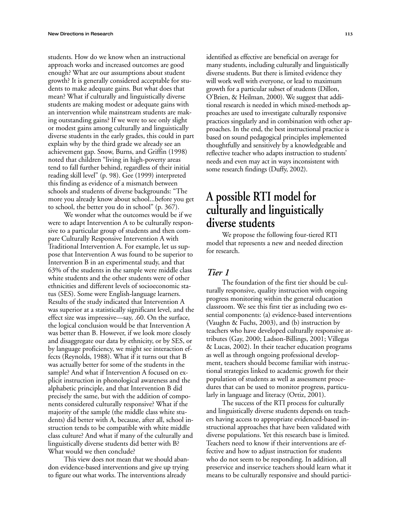students. How do we know when an instructional approach works and increased outcomes are good enough? What are our assumptions about student growth? It is generally considered acceptable for students to make adequate gains. But what does that mean? What if culturally and linguistically diverse students are making modest or adequate gains with an intervention while mainstream students are making outstanding gains? If we were to see only slight or modest gains among culturally and linguistically diverse students in the early grades, this could in part explain why by the third grade we already see an achievement gap. Snow, Burns, and Griffin (1998) noted that children "living in high-poverty areas tend to fall further behind, regardless of their initial reading skill level" (p. 98). Gee (1999) interpreted this finding as evidence of a mismatch between schools and students of diverse backgrounds: "The more you already know about school...before you get to school, the better you do in school" (p. 367).

We wonder what the outcomes would be if we were to adapt Intervention A to be culturally responsive to a particular group of students and then compare Culturally Responsive Intervention A with Traditional Intervention A. For example, let us suppose that Intervention A was found to be superior to Intervention B in an experimental study, and that 63% of the students in the sample were middle class white students and the other students were of other ethnicities and different levels of socioeconomic status (SES). Some were English-language learners. Results of the study indicated that Intervention A was superior at a statistically significant level, and the effect size was impressive—say, .60. On the surface, the logical conclusion would be that Intervention A was better than B. However, if we look more closely and disaggregate our data by ethnicity, or by SES, or by language proficiency, we might see interaction effects (Reynolds, 1988). What if it turns out that B was actually better for some of the students in the sample? And what if Intervention A focused on explicit instruction in phonological awareness and the alphabetic principle, and that Intervention B did precisely the same, but with the addition of components considered culturally responsive? What if the majority of the sample (the middle class white students) did better with A, because, after all, school instruction tends to be compatible with white middle class culture? And what if many of the culturally and linguistically diverse students did better with B? What would we then conclude?

This view does not mean that we should abandon evidence-based interventions and give up trying to figure out what works. The interventions already

identified as effective are beneficial on average for many students, including culturally and linguistically diverse students. But there is limited evidence they will work well with everyone, or lead to maximum growth for a particular subset of students (Dillon, O'Brien, & Heilman, 2000). We suggest that additional research is needed in which mixed-methods approaches are used to investigate culturally responsive practices singularly and in combination with other approaches. In the end, the best instructional practice is based on sound pedagogical principles implemented thoughtfully and sensitively by a knowledgeable and reflective teacher who adapts instruction to students' needs and even may act in ways inconsistent with some research findings (Duffy, 2002).

### **A possible RTI model for culturally and linguistically diverse students**

We propose the following four-tiered RTI model that represents a new and needed direction for research.

### *Tier 1*

The foundation of the first tier should be culturally responsive, quality instruction with ongoing progress monitoring within the general education classroom. We see this first tier as including two essential components: (a) evidence-based interventions (Vaughn & Fuchs, 2003), and (b) instruction by teachers who have developed culturally responsive attributes (Gay, 2000; Ladson-Billings, 2001; Villegas & Lucas, 2002). In their teacher education programs as well as through ongoing professional development, teachers should become familiar with instructional strategies linked to academic growth for their population of students as well as assessment procedures that can be used to monitor progress, particularly in language and literacy (Ortiz, 2001).

The success of the RTI process for culturally and linguistically diverse students depends on teachers having access to appropriate evidenced-based instructional approaches that have been validated with diverse populations. Yet this research base is limited. Teachers need to know if their interventions are effective and how to adjust instruction for students who do not seem to be responding. In addition, all preservice and inservice teachers should learn what it means to be culturally responsive and should partici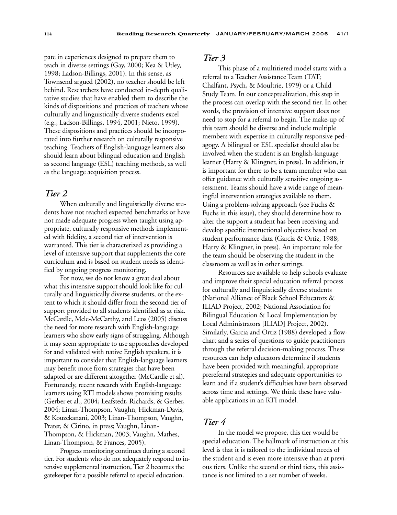pate in experiences designed to prepare them to teach in diverse settings (Gay, 2000; Kea & Utley, 1998; Ladson-Billings, 2001). In this sense, as Townsend argued (2002), no teacher should be left behind. Researchers have conducted in-depth qualitative studies that have enabled them to describe the kinds of dispositions and practices of teachers whose culturally and linguistically diverse students excel (e.g., Ladson-Billings, 1994, 2001; Nieto, 1999). These dispositions and practices should be incorporated into further research on culturally responsive teaching. Teachers of English-language learners also should learn about bilingual education and English as second language (ESL) teaching methods, as well as the language acquisition process.

#### *Tier 2*

When culturally and linguistically diverse students have not reached expected benchmarks or have not made adequate progress when taught using appropriate, culturally responsive methods implemented with fidelity, a second tier of intervention is warranted. This tier is characterized as providing a level of intensive support that supplements the core curriculum and is based on student needs as identified by ongoing progress monitoring.

For now, we do not know a great deal about what this intensive support should look like for culturally and linguistically diverse students, or the extent to which it should differ from the second tier of support provided to all students identified as at risk. McCardle, Mele-McCarthy, and Leos (2005) discuss the need for more research with English-language learners who show early signs of struggling. Although it may seem appropriate to use approaches developed for and validated with native English speakers, it is important to consider that English-language learners may benefit more from strategies that have been adapted or are different altogether (McCardle et al). Fortunately, recent research with English-language learners using RTI models shows promising results (Gerber et al., 2004; Leafstedt, Richards, & Gerber, 2004; Linan-Thompson, Vaughn, Hickman-Davis, & Kouzekanani, 2003; Linan-Thompson, Vaughn, Prater, & Cirino, in press; Vaughn, Linan-Thompson, & Hickman, 2003; Vaughn, Mathes, Linan-Thompson, & Frances, 2005).

Progress monitoring continues during a second tier. For students who do not adequately respond to intensive supplemental instruction, Tier 2 becomes the gatekeeper for a possible referral to special education.

### *Tier 3*

This phase of a multitiered model starts with a referral to a Teacher Assistance Team (TAT; Chalfant, Psych, & Moultrie, 1979) or a Child Study Team. In our conceptualization, this step in the process can overlap with the second tier. In other words, the provision of intensive support does not need to stop for a referral to begin. The make-up of this team should be diverse and include multiple members with expertise in culturally responsive pedagogy. A bilingual or ESL specialist should also be involved when the student is an English-language learner (Harry & Klingner, in press). In addition, it is important for there to be a team member who can offer guidance with culturally sensitive ongoing assessment. Teams should have a wide range of meaningful intervention strategies available to them. Using a problem-solving approach (see Fuchs & Fuchs in this issue), they should determine how to alter the support a student has been receiving and develop specific instructional objectives based on student performance data (Garcia & Ortiz, 1988; Harry & Klingner, in press). An important role for the team should be observing the student in the classroom as well as in other settings.

Resources are available to help schools evaluate and improve their special education referral process for culturally and linguistically diverse students (National Alliance of Black School Educators & ILIAD Project, 2002; National Association for Bilingual Education & Local Implementation by Local Administrators [ILIAD] Project, 2002). Similarly, Garcia and Ortiz (1988) developed a flowchart and a series of questions to guide practitioners through the referral decision-making process. These resources can help educators determine if students have been provided with meaningful, appropriate prereferral strategies and adequate opportunities to learn and if a student's difficulties have been observed across time and settings. We think these have valuable applications in an RTI model.

#### *Tier 4*

In the model we propose, this tier would be special education. The hallmark of instruction at this level is that it is tailored to the individual needs of the student and is even more intensive than at previous tiers. Unlike the second or third tiers, this assistance is not limited to a set number of weeks.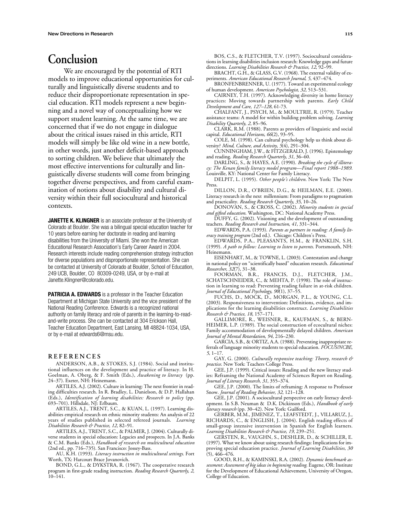### **Conclusion**

We are encouraged by the potential of RTI models to improve educational opportunities for culturally and linguistically diverse students and to reduce their disproportionate representation in special education. RTI models represent a new beginning and a novel way of conceptualizing how we support student learning. At the same time, we are concerned that if we do not engage in dialogue about the critical issues raised in this article, RTI models will simply be like old wine in a new bottle, in other words, just another deficit-based approach to sorting children. We believe that ultimately the most effective interventions for culturally and linguistically diverse students will come from bringing together diverse perspectives, and from careful examination of notions about disability and cultural diversity within their full sociocultural and historical contexts.

**JANETTE K. KLINGNER** is an associate professor at the University of Colorado at Boulder. She was a bilingual special education teacher for 10 years before earning her doctorate in reading and learning disabilities from the University of Miami. She won the American Educational Research Association's Early Career Award in 2004. Research interests include reading comprehension strategy instruction for diverse populations and disproportionate representation. She can be contacted at University of Colorado at Boulder, School of Education, 249 UCB, Boulder, CO 80309-0249, USA, or by e-mail at Janette.Klingner@colorado.edu.

**PATRICIA A. EDWARDS** is a professor in the Teacher Education Department at Michigan State University and the vice president of the National Reading Conference. Edwards is a recognized national authority on family literacy and role of parents in the learning-to-readand-write process. She can be contacted at 304 Erickson Hall, Teacher Education Department, East Lansing, MI 48824-1034, USA, or by e-mail at edwards6@msu.edu.

#### **REFERENCES**

ANDERSON, A.B., & STOKES, S.J. (1984). Social and institutional influences on the development and practice of literacy. In H. Goelman, A. Oberg, & F. Smith (Eds.), *Awakening to literacy* (pp. 24–37). Exeter, NH: Heinemann.

ARTILES, A.J. (2002). Culture in learning: The next frontier in reading difficulties research. In R. Bradley, L. Danielson, & D.P. Hallahan (Eds.), *Identification of learning disabilities: Research to policy* (pp. 693–701). Hillsdale, NJ: Erlbaum.

ARTILES, A.J., TRENT, S.C., & KUAN, L. (1997). Learning disabilities empirical research on ethnic minority students: An analysis of 22 years of studies published in selected refereed journals. *Learning Disabilities Research & Practice*, *12*, 82–91.

ARTILES, A.J., TRENT, S.C., & PALMER, J. (2004). Culturally diverse students in special education: Legacies and prospects. In J.A. Banks & C.M. Banks (Eds.), *Handbook of research on multicultural education* (2nd ed., pp. 716–735). San Francisco: Jossey-Bass.

AU, K.H. (1993). *Literacy instruction in multicultural settings*. Fort Worth, TX: Harcourt Brace Jovanovich.

BOND, G.L., & DYKSTRA, R. (1967). The cooperative research program in first-grade reading instruction. *Reading Research Quarterly*, *2*, 10–141.

BOS, C.S., & FLETCHER, T.V. (1997). Sociocultural considerations in learning disabilities inclusion research: Knowledge gaps and future directions. *Learning Disabilities Research & Practice*, *12*, 92–99.

BRACHT, G.H., & GLASS, G.V. (1968). The external validity of experiments. *American Educational Research Journal*, *5*, 437–474.

BRONFENBRENNER, U. (1977). Toward an experimental ecology of human development. *American Psychologist*, *32*, 513–531.

CAIRNEY, T.H. (1997). Acknowledging diversity in home literacy practices: Moving towards partnership with parents. *Early Child Development and Care*, *127–128*, 61-73.

CHALFANT, J., PSYCH, M., & MOULTRIE, R. (1979). Teacher assistance teams: A model for within building problem solving. *Learning Disability Quarterly*, *2*, 85–96.

CLARK, R.M. (1988). Parents as providers of linguistic and social capital. *Educational Horizons*, *66*(2), 93–95.

COLE, M. (1998). Can cultural psychology help us think about diversity? *Mind, Culture, and Activity*, *5*(4), 291–304.

CUNNINGHAM, J.W., & FITZGERALD, J. (1996). Epistemology and reading. *Reading Research Quarterly*, *31*, 36–60.

DARLING, S., & HAYES, A.E. (1990). *Breaking the cycle of illiteracy: The Kenan family literacy model program—Final report 1988–1989*. Louisville, KY: National Center for Family Literacy.

DELPIT, L. (1995). *Other people's children*. New York: The New Press.

DILLON, D.R., O'BRIEN, D.G., & HEILMAN, E.E. (2000). Literacy research in the next millennium: From paradigms to pragmatism and practicality. *Reading Research Quarterly*, *35*, 10–26.

DONOVAN, S., & CROSS, C. (2002). *Minority students in special and gifted education*. Washington, DC: National Academy Press.

DUFFY, G. (2002). Visioning and the development of outstanding teachers. *Reading Research and Instruction*, *41*, 331–344.

EDWARDS, P.A. (1993). *Parents as partners in reading: A family literacy training program* (2nd ed.). Chicago: Children's Press.

EDWARDS, P.A., PLEASANTS, H.M., & FRANKLIN, S.H. (1999). *A path to follow: Learning to listen to parents*. Portsmouth, NH: Heinemann.

EISENHART, M., & TOWNE, L. (2003). Contestation and change in national policy on "scientifically based" education research. *Educational Researcher*, *32*(7), 31–38.

FOORMAN, B.R., FRANCIS, D.J., FLETCHER, J.M., SCHATSCHNEIDER, C., & MEHTA, P. (1998). The role of instruction in learning to read: Preventing reading failure in at-risk children. *Journal of Educational Psychology*, *90*(1), 37–55.

FUCHS, D., MOCK, D., MORGAN, P.L., & YOUNG, C.L. (2003). Responsiveness to intervention: Definitions, evidence, and implications for the learning disabilities construct. *Learning Disabilities Research & Practice*, *18*, 157–171.

GALLIMORE, R., WEISNER, R., KAUFMAN, S., & BERN-HEIMER, L.P. (1989). The social construction of ecocultural niches: Family accommodation of developmentally delayed children. *American Journal of Mental Retardation*, *94*, 216–230.

GARCIA, S.B., & ORTIZ, A.A. (1988). Preventing inappropriate referrals of language minority students to special education. *FOCUS/NCBE*, *5*, 1–17.

GAY, G. (2000). *Culturally responsive teaching: Theory, research & practice*. New York: Teachers College Press.

GEE, J.P. (1999). Critical issues: Reading and the new literacy studies: Reframing the National Academy of Sciences Report on Reading. *Journal of Literacy Research*, *31*, 355–374.

GEE, J.P. (2000). The limits of reframing: A response to Professor Snow. *Journal of Reading Behavior*, *32*, 121–128.

GEE, J.P. (2001). A sociocultural perspective on early literacy development. In S.B. Neuman & D.K. Dickinson (Eds.), *Handbook of early literacy research* (pp. 30–42). New York: Guilford.

GERBER, M.M., JIMENEZ, T., LEAFSTEDT, J., VILLARUZ, J., RICHARDS, C., & ENGLISH, J. (2004). English reading effects of small-group intensive intervention in Spanish for English learners. *Learning Disabilities Research & Practice*, *19*, 239–251.

GERSTEN, R., VAUGHN, S., DESHLER, D., & SCHILLER, E. (1997). What we know about using research findings: Implications for improving special education practice. *Journal of Learning Disabilities*, *30*  $(5), 466-\hat{4}76.$ 

GOOD, R.H., & KAMINSKI, R.A. (2002). *Dynamic benchmark assessment: Assessment of big ideas in beginning reading*. Eugene, OR: Institute for the Development of Educational Achievement, University of Oregon, College of Education.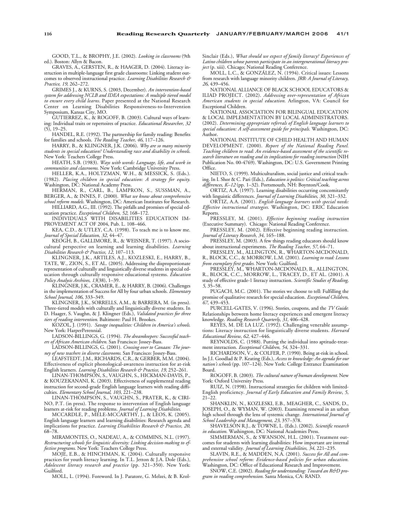GOOD, T.L., & BROPHY, J.E. (2002). *Looking in classrooms* (9th ed.). Boston: Allyn & Bacon.

GRAVES, A., GERSTEN, R., & HAAGER, D. (2004). Literacy instruction in multiple-language first grade classrooms: Linking student outcomes to observed instructional practice. *Learning Disabilities Research & Practice*, *19*, 262–272.

GRIMES J., & KURNS, S. (2003, December). *An intervention-based system for addressing NCLB and IDEA expectations: A multiple tiered model to ensure every child learns*. Paper presented at the National Research Center on Learning Disabilities Responsiveness-to-Intervention Symposium, Kansas City, MO.

GUTIERREZ, K., & ROGOFF, B. (2003). Cultural ways of learning: Individual traits or repertoires of practice. *Educational Researcher*, *32*  $(5)$ , 19–25.

HANDEL, R.E. (1992). The partnership for family reading: Benefits for families and schools. *The Reading Teacher*, *46*, 117–126.

HARRY, B., & KLINGNER, J.K. (2006). *Why are so many minority students in special education? Understanding race and disability in schools*. New York: Teachers College Press.

HEATH, S.B. (1983). *Ways with words: Language, life, and work in communities and classrooms*. New York: Cambridge University Press.

HELLER, K.A., HOLTZMAN, W.H., & MESSICK, S. (Eds.). (1982). *Placing children in special education: A strategy for equity*. Washington, DC: National Academy Press.

HERMAN, R., CARL, B., LAMPRON, S., SUSSMAN, A., BERGER, A., & INNES, F. (2000). *What we know about comprehensive school reform models*. Washington, DC: American Institutes for Research.

HILLIARD, A.G., III. (1992). The pitfalls and promises of special education practice. *Exceptional Children*, *52*, 168–172.

INDIVIDUALS WITH DISABILITIES EDUCATION IM-PROVEMENT ACT OF 2004, Pub. L. 108–466.

KEA, C.D., & UTLEY, C.A. (1998). To teach me is to know me. *Journal of Special Education*, *32*, 44–47.

KEOGH, B., GALLIMORE, R., & WEISNER, T. (1997). A sociocultural perspective on learning and learning disabilities. *Learning Disabilities Research & Practice*, *12*, 107–113.

KLINGNER, J.K., ARTILES, A.J., KOZLESKI, E., HARRY, B., TATE, W., ZION, S., ET AL. (2005). Addressing the disproportionate representation of culturally and linguistically diverse students in special education through culturally responsive educational systems. *Education Policy Analysis Archives*, *13*(38), 1–39.

KLINGNER, J.K., CRAMER, E., & HARRY, B. (2006). Challenges in the implementation of Success for All by four urban schools. *Elementary School Journal*, *106*, 333–349.

KLINGNER, J.K., SORRELLS, A.M., & BARRERA, M. (in press). Three-tiered models with culturally and linguistically diverse students. In D. Haager, S. Vaughn, & J. Klingner (Eds.), *Validated practices for three tiers of reading intervention*. Baltimore: Paul H. Brookes.

KOZOL, J. (1991). *Savage inequalities: Children in America's schools*. New York: HarperPerennial.

LADSON-BILLINGS, G. (1994). *The dreamkeepers: Successful teachers of African American children*. San Francisco: Jossey-Bass.

LADSON-BILLINGS, G. (2001). *Crossing over to Canaan: The journey of new teachers in diverse classrooms*. San Francisco: Jossey-Bass.

LEAFSTEDT, J.M., RICHARDS, C.R., & GERBER, M.M. (2004). Effectiveness of explicit phonological-awareness instruction for at-risk English learners. *Learning Disabilities Research & Practice*, *19*, 252–261.

LINAN-THOMPSON, S., VAUGHN, S., HICKMAN-DAVIS, P., & KOUZEKANANI, K. (2003). Effectiveness of supplemental reading instruction for second-grade English language learners with reading difficulties. *Elementary School Journal*, *103*, 221–238.

LINAN-THOMPSON, S., VAUGHN, S., PRATER, K., & CIRI-NO, P.T. (in press). The response to intervention of English language learners at-risk for reading problems. *Journal of Learning Disabilities*.

MCCARDLE, P., MELE-MCCARTHY, J., & LEOS, K. (2005). English language learners and learning disabilities: Research agenda and implications for practice. *Learning Disabilities Research & Practice*, *20*, 68–78.

MIRAMONTES, O., NADEAU, A., & COMMINS, N.L. (1997). *Restructuring schools for linguistic diversity: Linking decision-making to effective programs*. New York: Teachers College Press.

MOJE, E.B., & HINCHMAN, K. (2004). Culturally responsive practices for youth literacy learning. In T.L. Jetton & J.A. Dole (Eds.), *Adolescent literacy research and practice* (pp. 321–350). New York: Guilford.

MOLL, L. (1994). Foreword. In J. Paratore, G. Melzei, & B. Krol-

Sinclair (Eds.), *What should we expect of family literacy? Experiences of Latino children whose parents participate in an intergenerational literacy project* (p. xiii). Chicago; National Reading Conference.

MOLL, L.C., & GONZÁLEZ, N. (1994). Critical issues: Lessons from research with language minority children. *JRB: A Journal of Literacy*, *26*, 439–456.

NATIONAL ALLIANCE OF BLACK SCHOOL EDUCATORS & ILIAD PROJECT. (2002). *Addressing over-representation of African American students in special education*. Arlington, VA: Council for Exceptional Children.

NATIONAL ASSOCIATION FOR BILINGUAL EDUCATION & LOCAL IMPLEMENTATION BY LOCAL ADMINISTRATORS. (2002). *Determining appropriate referrals of English language learners to special education: A self-assessment guide for principals*. Washington, DC: Author.

NATIONAL INSTITUTE OF CHILD HEALTH AND HUMAN DEVELOPMENT. (2000). *Report of the National Reading Panel. Teaching children to read: An evidence-based assessment of the scientific research literature on reading and its implications for reading instruction* (NIH Publication No. 00-4769). Washington, DC: U.S. Government Printing **Office** 

NIETO, S. (1999). Multiculturalism, social justice and critical teaching. In I. Shor & C. Pari (Eds.), *Education is politics: Critical teaching across differences, K–12* (pp. 1–32). Portsmouth, NH: Boynton/Cook.

ORTIZ, A.A. (1997). Learning disabilities occurring concomitantly with linguistic differences. *Journal of Learning Disabilities*, *30*, 321–332.

ORTIZ, A.A. (2001). *English language learners with special needs: Effective instructional strategies*. Washington, DC: ERIC Education Reports.

PRESSLEY, M. (2001). *Effective beginning reading instruction* (Executive Summary). Chicago: National Reading Conference.

PRESSLEY, M. (2002). Effective beginning reading instruction. *Journal of Literacy Research*, *34*, 165–188.

PRESSLEY, M. (2003). A few things reading educators should know about instructional experiments. *The Reading Teacher*, *57*, 64–71.

PRESSLEY, M., ALLINGTON, R., WHARTON-MCDONALD, R., BLOCK, C.C., & MORROW, L.M. (2001). *Learning to read: Lessons*

*from exemplary first grades*. New York: Guilford. PRESSLEY, M., WHARTON-MCDONALD, R., ALLINGTON,

R., BLOCK, C.C., MORROW, L., TRACEY, D., ET AL. (2001). A study of effective grade-1 literacy instruction. *Scientific Studies of Reading, 5*, 35–58.

PUGACH, M.C. (2001). The stories we choose to tell: Fulfilling the promise of qualitative research for special education. *Exceptional Children*, *67*, 439–453.

PURCELL-GATES, V. (1996). Stories, coupons, and the *TV Guide*: Relationships between home literacy experiences and emergent literacy knowledge. *Reading Research Quarterly*, *31*, 406–428.

REYES, M. DE LA LUZ. (1992). Challenging venerable assumptions: Literacy instruction for linguistically diverse students. *Harvard Educational Review*, *62*, 427–446.

REYNOLDS, C. (1988). Putting the individual into aptitude-treatment interaction. *Exceptional Children*, *54*, 324–331.

RICHARDSON, V., & COLFER, P. (1990). Being at-risk in school. In J.I. Goodlad & P. Keating (Eds.), *Access to knowledge: An agenda for our nation's schools* (pp. 107–124). New York: College Entrance Examination Board.

ROGOFF, B. (2003). *The cultural nature of human development*. New York: Oxford University Press.

RUIZ, N. (1998). Instructional strategies for children with limited-English proficiency. *Journal of Early Education and Family Review*, *5*, 21–22.

SHANKLIN, N., KOZLESKI, E.B., MEAGHER, C., SANDS, D., JOSEPH, O., & WYMAN, W. (2003). Examining renewal in an urban high school through the lens of systemic change. *International Journal of School Leadership and Management*, *23*, 357–378.

SHAVELSON R.J., & TOWNE, L. (Eds.). (2002). *Scientific research in education*. Washington, DC: National Academies Press.

SIMMERMAN, S., & SWANSON, H.L. (2001). Treatment outcomes for students with learning disabilities: How important are internal and external validity. *Journal of Learning Disabilities*, *34*, 221–235.

SLAVIN, R.E., & MADDEN, N.A. (2001). *Success for All and comprehensive school reform: Evidence-based policies for urban education*. Washington, DC: Office of Educational Research and Improvement.

SNOW, C.E. (2002). *Reading for understanding: Toward an R&D program in reading comprehension*. Santa Monica, CA: RAND.